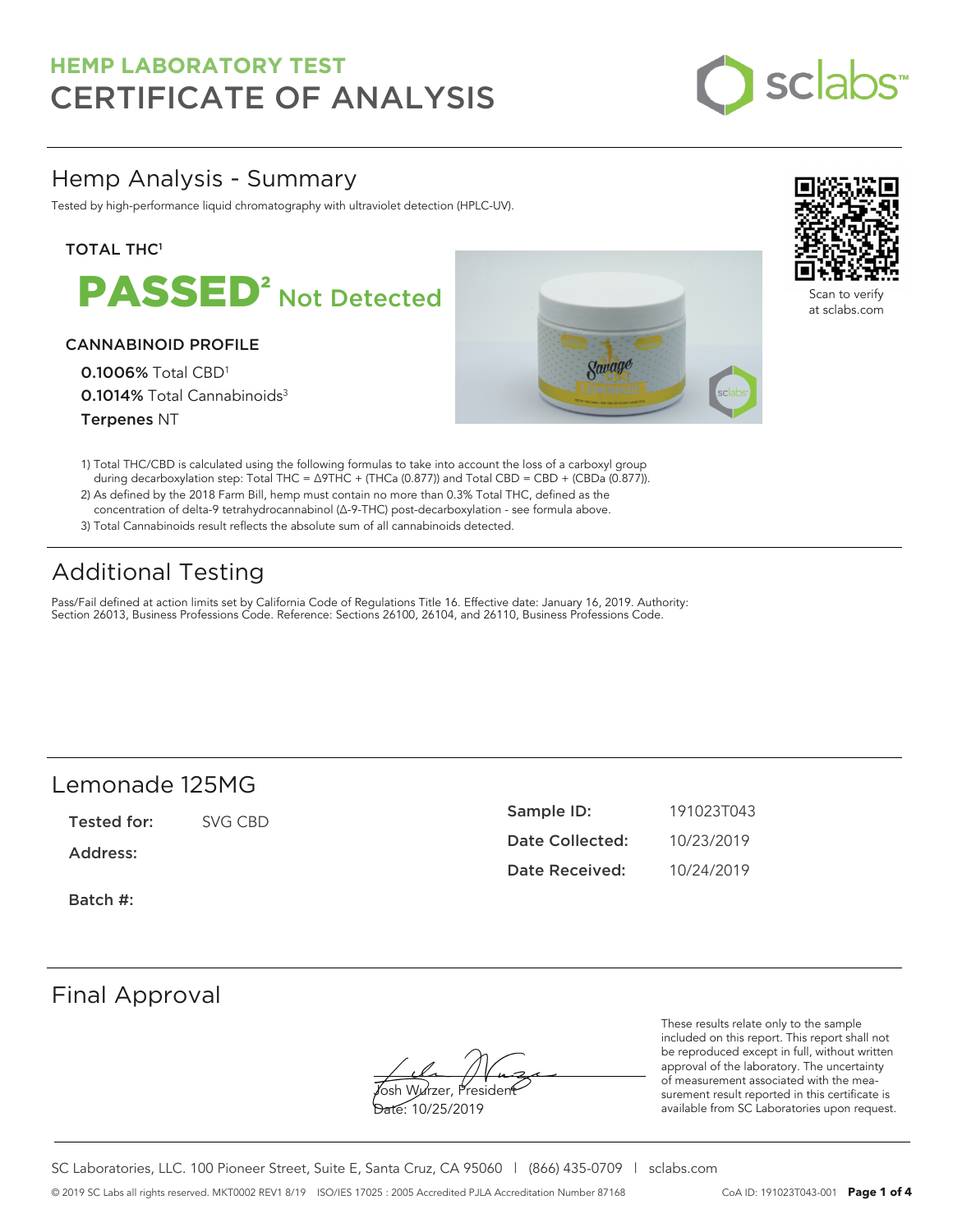

# Hemp Analysis - Summary

Tested by high-performance liquid chromatography with ultraviolet detection (HPLC-UV).

### **TOTAL THC1**



### CANNABINOID PROFILE

0.1006% Total CBD<sup>1</sup> 0.1014% Total Cannabinoids<sup>3</sup> Terpenes NT





Scan to verify at sclabs.com

- 1) Total THC/CBD is calculated using the following formulas to take into account the loss of a carboxyl group during decarboxylation step: Total THC = ∆9THC + (THCa (0.877)) and Total CBD = CBD + (CBDa (0.877)).
- 2) As defined by the 2018 Farm Bill, hemp must contain no more than 0.3% Total THC, defined as the concentration of delta-9 tetrahydrocannabinol (Δ-9-THC) post-decarboxylation - see formula above.
- 3) Total Cannabinoids result reflects the absolute sum of all cannabinoids detected.

# Additional Testing

Pass/Fail defined at action limits set by California Code of Regulations Title 16. Effective date: January 16, 2019. Authority: Section 26013, Business Professions Code. Reference: Sections 26100, 26104, and 26110, Business Professions Code.

# Lemonade 125MG

Tested for: SVG CBD

Address:

Batch #:

| Sample ID:      | 191023T043 |
|-----------------|------------|
| Date Collected: | 10/23/2019 |
| Date Received:  | 10/24/2019 |

# Final Approval

osh Wurzer, Presider

Date: 10/25/2019

These results relate only to the sample included on this report. This report shall not be reproduced except in full, without written approval of the laboratory. The uncertainty of measurement associated with the measurement result reported in this certificate is available from SC Laboratories upon request.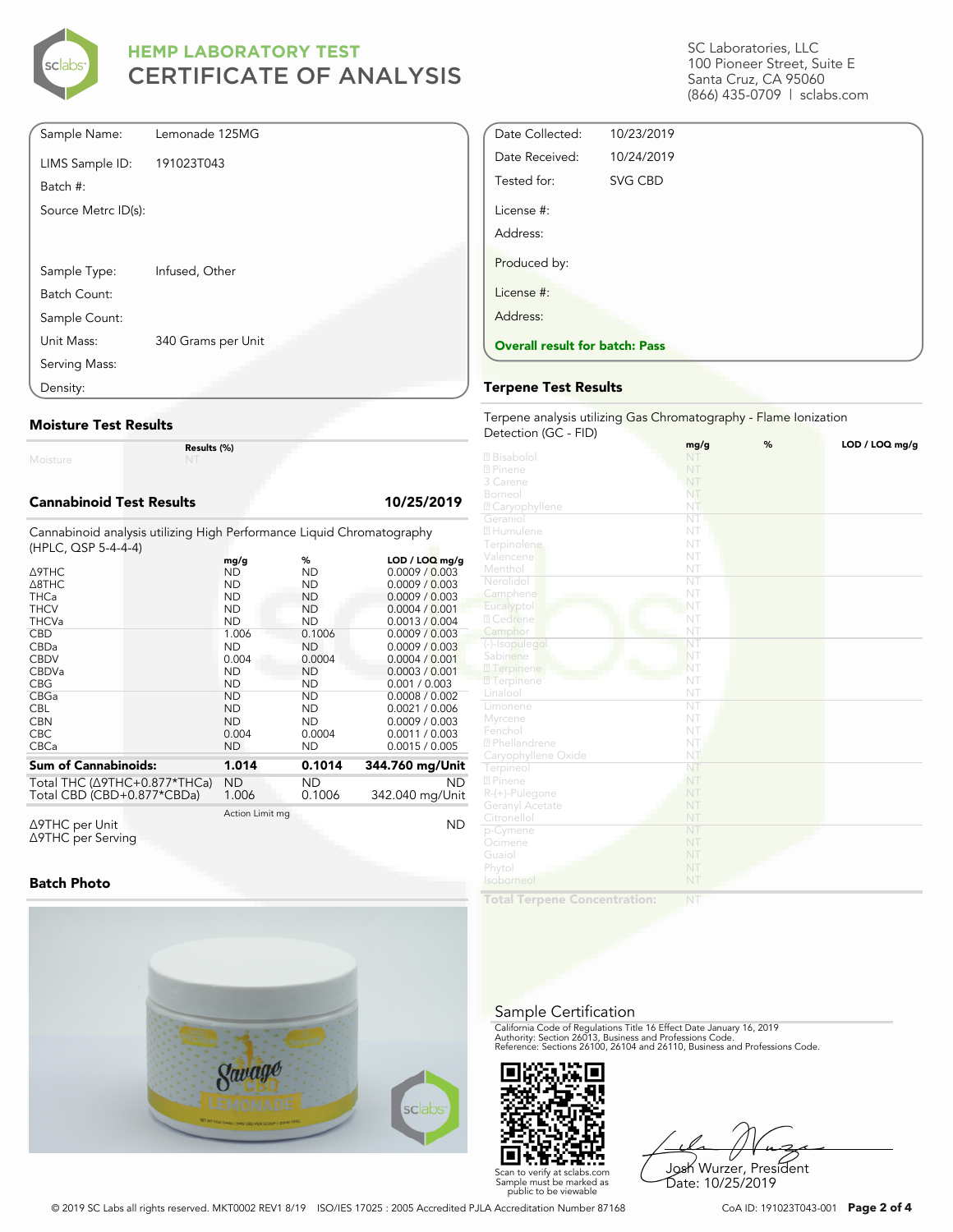

| Sample Name:        | Lemonade 125MG     |
|---------------------|--------------------|
| LIMS Sample ID:     | 191023T043         |
| Batch #:            |                    |
| Source Metrc ID(s): |                    |
|                     |                    |
|                     |                    |
| Sample Type:        | Infused, Other     |
| Batch Count:        |                    |
| Sample Count:       |                    |
| Unit Mass:          | 340 Grams per Unit |
| Serving Mass:       |                    |
| Density:            |                    |

#### **Moisture Test Results**

Moisture

**Results (%)**

#### **Cannabinoid Test Results 10/25/2019**

Cannabinoid analysis utilizing High Performance Liquid Chromatography (HPLC, QSP 5-4-4-4)

|                                          | mg/g            | %         | $LOD / LOQ$ mg/g |
|------------------------------------------|-----------------|-----------|------------------|
| ∆9THC                                    | ND              | <b>ND</b> | 0.0009 / 0.003   |
| $\triangle$ 8THC                         | <b>ND</b>       | ND        | 0.0009 / 0.003   |
| <b>THCa</b>                              | <b>ND</b>       | <b>ND</b> | 0.0009 / 0.003   |
| <b>THCV</b>                              | <b>ND</b>       | ND        | 0.0004 / 0.001   |
| <b>THCVa</b>                             | <b>ND</b>       | <b>ND</b> | 0.0013 / 0.004   |
| <b>CBD</b>                               | 1.006           | 0.1006    | 0.0009 / 0.003   |
| <b>CBDa</b>                              | <b>ND</b>       | ND.       | 0.0009 / 0.003   |
| <b>CBDV</b>                              | 0.004           | 0.0004    | 0.0004 / 0.001   |
| <b>CBDVa</b>                             | <b>ND</b>       | <b>ND</b> | 0.0003 / 0.001   |
| <b>CBG</b>                               | <b>ND</b>       | ND        | 0.001 / 0.003    |
| CBGa                                     | <b>ND</b>       | ND        | 0.0008 / 0.002   |
| <b>CBL</b>                               | <b>ND</b>       | ND        | 0.0021 / 0.006   |
| <b>CBN</b>                               | <b>ND</b>       | ND        | 0.0009 / 0.003   |
| <b>CBC</b>                               | 0.004           | 0.0004    | 0.0011 / 0.003   |
| <b>CBCa</b>                              | <b>ND</b>       | ND        | 0.0015 / 0.005   |
| <b>Sum of Cannabinoids:</b>              | 1.014           | 0.1014    | 344.760 mg/Unit  |
| Total THC ( $\triangle$ 9THC+0.877*THCa) | <b>ND</b>       | ND.       | <b>ND</b>        |
| Total CBD (CBD+0.877*CBDa)               | 1.006           | 0.1006    | 342.040 mg/Unit  |
| Δ9THC per Unit                           | Action Limit mg |           | ΝD               |

Δ9THC per Unit Δ9THC per Serving

#### **Batch Photo**



SC Laboratories, LLC 100 Pioneer Street, Suite E Santa Cruz, CA 95060 (866) 435-0709 | sclabs.com

| Date Collected:                       | 10/23/2019 |  |  |
|---------------------------------------|------------|--|--|
| Date Received:                        | 10/24/2019 |  |  |
| Tested for:                           | SVG CBD    |  |  |
| License #:                            |            |  |  |
| Address:                              |            |  |  |
| Produced by:                          |            |  |  |
| License #:                            |            |  |  |
| Address:                              |            |  |  |
| <b>Overall result for batch: Pass</b> |            |  |  |
|                                       |            |  |  |

#### **Terpene Test Results**

Terpene analysis utilizing Gas Chromatography - Flame Ionization Detection (GC - FID)

|                           | mg/g                   | % | LOD / LOQ mg/g |
|---------------------------|------------------------|---|----------------|
| 2 Bisabolol               | NT                     |   |                |
| 2 Pinene                  | NT                     |   |                |
| 3 Carene                  | NT                     |   |                |
| Borneol                   | NT                     |   |                |
| 2 Caryophyllene           | NT                     |   |                |
| Geraniol                  | NT                     |   |                |
| 2 Humulene                | NT                     |   |                |
| Terpinolene               | NT                     |   |                |
| Valencene                 | NT                     |   |                |
| Menthol                   | NT                     |   |                |
| Nerolidol                 | $\overline{\text{NT}}$ |   |                |
| Camphene                  | NT                     |   |                |
| Eucalyptol                | NT                     |   |                |
| 2 Cedrene                 | NT                     |   |                |
| Camphor                   | NT                     |   |                |
| (-)-Isopulegol            | NT                     |   |                |
| Sabinene                  | NT                     |   |                |
| 2 Terpinene               | NT                     |   |                |
| <b>7</b> Terpinene        | NT                     |   |                |
| Linalool                  | NT                     |   |                |
| Limonene                  | ÑT                     |   |                |
| Myrcene                   | NT                     |   |                |
| Fenchol                   | NT                     |   |                |
| <sup>2</sup> Phellandrene | NT                     |   |                |
| Caryophyllene Oxide       | NT                     |   |                |
| Terpineol                 | NT                     |   |                |
| 2 Pinene                  | NT                     |   |                |
| R-(+)-Pulegone            | NT                     |   |                |
| Geranyl Acetate           | NT                     |   |                |
| Citronellol               | NT                     |   |                |
| p-Cymene                  | NT                     |   |                |
| Ocimene                   | NT                     |   |                |
| Guaiol                    | NT                     |   |                |
| Phytol                    | NT                     |   |                |
| Isoborneol                | NT                     |   |                |
|                           |                        |   |                |

**Total Terpene Concentration:**

#### Sample Certification

California Code of Regulations Title 16 Effect Date January 16, 2019<br>Authority: Section 26013, Business and Professions Code.<br>Reference: Sections 26100, 26104 and 26110, Business and Professions Code.



Josh Wurzer, President Date: 10/25/2019

© 2019 SC Labs all rights reserved. MKT0002 REV1 8/19 ISO/IES 17025 : 2005 Accredited PJLA Accreditation Number 87168 CoA ID: 191023T043-001 **Page 2 of 4**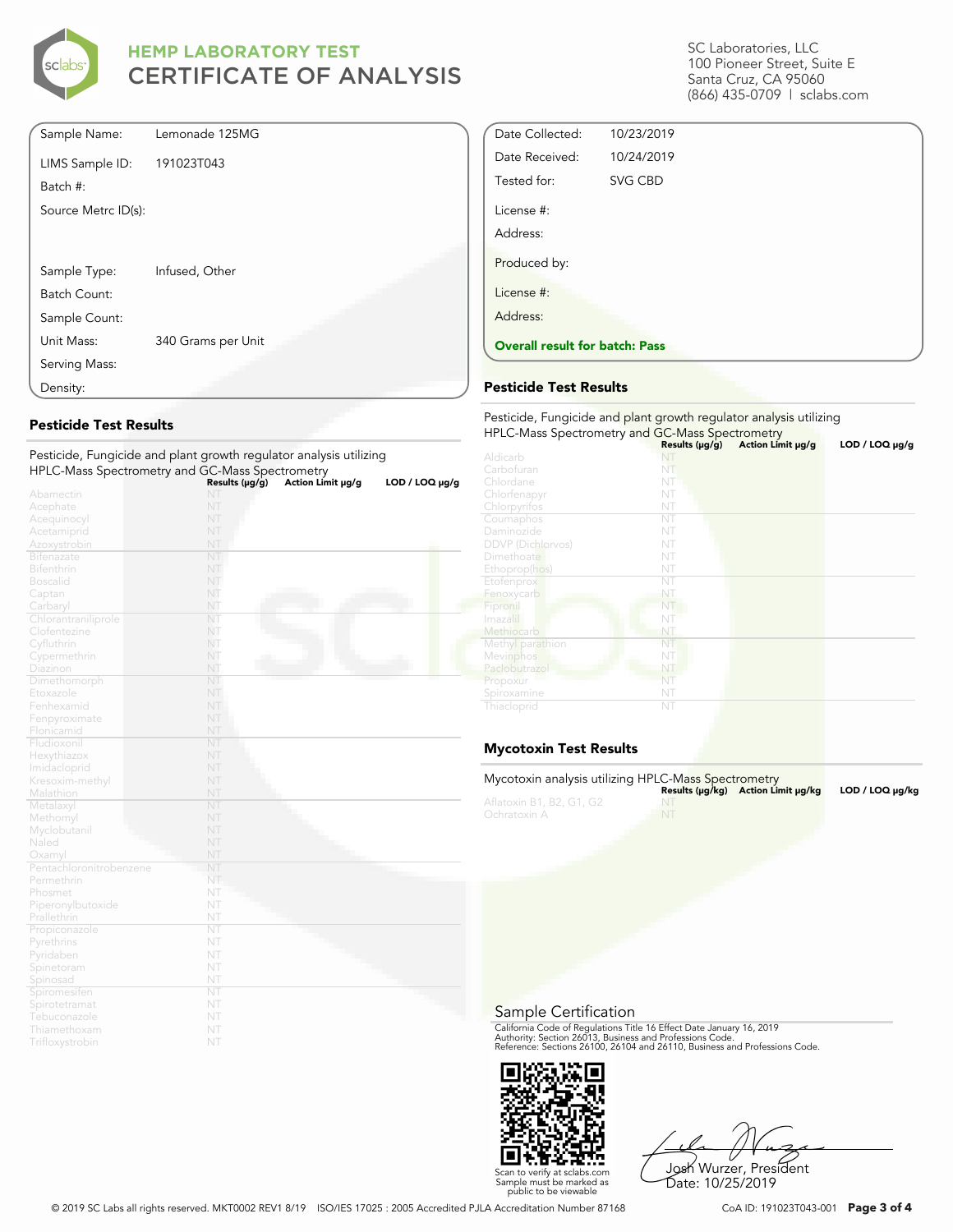

| Sample Name:        | Lemonade 125MG     |  |
|---------------------|--------------------|--|
| LIMS Sample ID:     | 191023T043         |  |
| Batch #:            |                    |  |
| Source Metrc ID(s): |                    |  |
|                     |                    |  |
|                     |                    |  |
| Sample Type:        | Infused, Other     |  |
| Batch Count:        |                    |  |
| Sample Count:       |                    |  |
| Unit Mass:          | 340 Grams per Unit |  |
| Serving Mass:       |                    |  |
| Density:            |                    |  |

### **Pesticide Test Results**

| Pesticide, Fungicide and plant growth regulator analysis utilizing |                |                   |                     |
|--------------------------------------------------------------------|----------------|-------------------|---------------------|
| HPLC-Mass Spectrometry and GC-Mass Spectrometry                    |                |                   |                     |
|                                                                    | Results (µg/g) | Action Limit µg/g | $LOD / LOQ \mu g/g$ |
| Abamectin                                                          | NT             |                   |                     |
| Acephate                                                           | NT             |                   |                     |
| Acequinocyl                                                        | NT             |                   |                     |
| Acetamiprid                                                        | NT             |                   |                     |
| Azoxystrobin                                                       | NT             |                   |                     |
| <b>Bifenazate</b>                                                  | NT             |                   |                     |
| <b>Bifenthrin</b>                                                  | NT             |                   |                     |
| <b>Boscalid</b>                                                    | NT             |                   |                     |
| Captan                                                             | NT             |                   |                     |
| Carbaryl                                                           | NT             |                   |                     |
| Chlorantraniliprole                                                | NT             |                   |                     |
| Clofentezine                                                       | NT             |                   |                     |
| Cyfluthrin                                                         | NT             |                   |                     |
| Cypermethrin                                                       | NT             |                   |                     |
| Diazinon                                                           | NT             |                   |                     |
| Dimethomorph                                                       | NT             |                   |                     |
| Etoxazole                                                          | NT             |                   |                     |
| Fenhexamid                                                         | NT             |                   |                     |
| Fenpyroximate                                                      | NT             |                   |                     |
| Flonicamid                                                         | NT             |                   |                     |
| Fludioxonil                                                        | NT             |                   |                     |
| Hexythiazox                                                        | NT             |                   |                     |
| Imidacloprid                                                       | NT             |                   |                     |
| Kresoxim-methyl                                                    | NT             |                   |                     |
| Malathion                                                          | NT             |                   |                     |
| Metalaxyl                                                          | NT             |                   |                     |
| Methomyl                                                           | NT             |                   |                     |
| Myclobutanil                                                       | NT             |                   |                     |
| Naled                                                              | NT             |                   |                     |
| Oxamyl                                                             | NT             |                   |                     |
| Pentachloronitrobenzene                                            | NT             |                   |                     |
| Permethrin                                                         | NT             |                   |                     |
| Phosmet                                                            | NT             |                   |                     |
| Piperonylbutoxide                                                  | NT             |                   |                     |
| Prallethrin                                                        | NT             |                   |                     |
| Propiconazole                                                      | NT             |                   |                     |
| Pyrethrins                                                         | NT             |                   |                     |
| Pyridaben                                                          | NT             |                   |                     |
| Spinetoram                                                         | NT             |                   |                     |
| Spinosad                                                           | NT             |                   |                     |
| Spiromesifen                                                       | NT             |                   |                     |
| Spirotetramat                                                      | NT             |                   |                     |
| Tebuconazole                                                       | NT             |                   |                     |
| Thiamethoxam                                                       | NT             |                   |                     |
| Trifloxystrobin                                                    | NT             |                   |                     |

SC Laboratories, LLC 100 Pioneer Street, Suite E Santa Cruz, CA 95060 (866) 435-0709 | sclabs.com

| <b>Overall result for batch: Pass</b> |            |  |  |
|---------------------------------------|------------|--|--|
| Address:                              |            |  |  |
| License #:                            |            |  |  |
| Produced by:                          |            |  |  |
| Address:                              |            |  |  |
| License #:                            |            |  |  |
| Tested for:                           | SVG CBD    |  |  |
| Date Received:                        | 10/24/2019 |  |  |
| Date Collected:                       | 10/23/2019 |  |  |

#### **Pesticide Test Results**

| Pesticide, Fungicide and plant growth regulator analysis utilizing |                |                   |                     |  |
|--------------------------------------------------------------------|----------------|-------------------|---------------------|--|
| HPLC-Mass Spectrometry and GC-Mass Spectrometry                    | Results (µg/g) | Action Limit µg/g | $LOD / LOQ \mu g/g$ |  |
| Aldicarb                                                           |                |                   |                     |  |
| Carbofuran                                                         | NT             |                   |                     |  |
| Chlordane                                                          | NT             |                   |                     |  |
| Chlorfenapyr                                                       | NT             |                   |                     |  |
| Chlorpyrifos                                                       | NT             |                   |                     |  |
| Coumaphos                                                          | NT             |                   |                     |  |
| Daminozide                                                         | NT             |                   |                     |  |
| <b>DDVP</b> (Dichlorvos)                                           | NT             |                   |                     |  |
| Dimethoate                                                         | NT             |                   |                     |  |
| Ethoprop(hos)                                                      | NT             |                   |                     |  |
| Etofenprox                                                         | NT             |                   |                     |  |
| Fenoxycarb                                                         | NT             |                   |                     |  |
| Fipronil                                                           | NT             |                   |                     |  |
| Imazalil                                                           | NT             |                   |                     |  |
| Methiocarb                                                         | NT             |                   |                     |  |
| Methyl parathion                                                   | NT             |                   |                     |  |
| Mevinphos                                                          | NT             |                   |                     |  |
| Paclobutrazol                                                      | NT             |                   |                     |  |
| Propoxur                                                           | NT             |                   |                     |  |
| Spiroxamine                                                        | NT             |                   |                     |  |
| Thiacloprid                                                        | NT             |                   |                     |  |

## **Mycotoxin Test Results**

| Mycotoxin analysis utilizing HPLC-Mass Spectrometry |    | Results (µq/kq) Action Limit µq/kq | LOD / LOQ µq/kq |
|-----------------------------------------------------|----|------------------------------------|-----------------|
| Aflatoxin B1, B2, G1, G2<br>Ochratoxin A            | NT |                                    |                 |

Sample Certification

California Code of Regulations Title 16 Effect Date January 16, 2019<br>Authority: Section 26013, Business and Professions Code.<br>Reference: Sections 26100, 26104 and 26110, Business and Professions Code.



Josh Wurzer, President Date: 10/25/2019

© 2019 SC Labs all rights reserved. MKT0002 REV1 8/19 ISO/IES 17025 : 2005 Accredited PJLA Accreditation Number 87168 CoA ID: 191023T043-001 **Page 3 of 4**